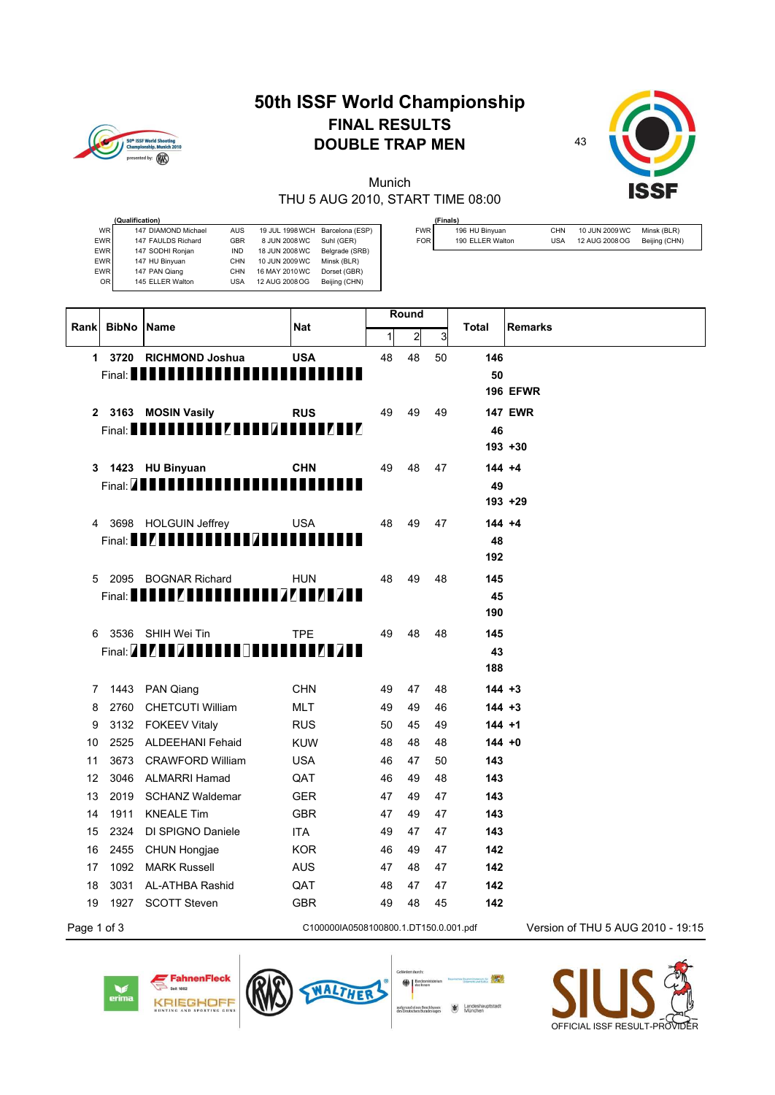## 50<sup>th</sup> ISSF World Sho<br>Championship, Mun ted by:  $\widehat{R}$

## **50th ISSF World Championship FINAL RESULTS DOUBLE TRAP MEN** 43



Munich THU 5 AUG 2010, START TIME 08:00

|                  | (Finals)         |     |                |               |
|------------------|------------------|-----|----------------|---------------|
| FWR <sup>I</sup> | 196 HU Binyuan   | CHN | 10 JUN 2009 WC | Minsk (BLR)   |
| FOR              | 190 ELLER Walton | USA | 12 AUG 2008 OG | Beijing (CHN) |

|                  | (Qualification)     |            |                 |                 |
|------------------|---------------------|------------|-----------------|-----------------|
| WR I             | 147 DIAMOND Michael | AUS        | 19 JUL 1998 WCH | Barcelona (ESP) |
| EWR <sup>1</sup> | 147 FAULDS Richard  | GBR        | 8 JUN 2008 WC   | Suhl (GER)      |
| <b>EWR</b>       | 147 SODHI Ronjan    | <b>IND</b> | 18 JUN 2008 WC  | Belgrade (SRB)  |
| <b>EWR</b>       | 147 HU Binyuan      | CHN        | 10 JUN 2009 WC  | Minsk (BLR)     |
| EWR <sup>I</sup> | 147 PAN Qiang       | CHN        | 16 MAY 2010 WC  | Dorset (GBR)    |
| OR I             | 145 ELLER Walton    | <b>USA</b> | 12 AUG 2008 OG  | Beijing (CHN)   |

| <b>BibNo Name</b><br>Rank |      |                                                                                | <b>Nat</b>                            | Round        |              |    | <b>Total</b> | <b>Remarks</b>                    |
|---------------------------|------|--------------------------------------------------------------------------------|---------------------------------------|--------------|--------------|----|--------------|-----------------------------------|
|                           |      |                                                                                |                                       | $\mathbf{1}$ | $\mathbf{z}$ | 3  |              |                                   |
|                           |      | 1 3720 RICHMOND Joshua                                                         | <b>USA</b>                            | 48           | 48           | 50 | 146          |                                   |
|                           |      | Final: <b>New York of the Second Party of the Second Party and Party Party</b> |                                       |              |              |    | 50           |                                   |
|                           |      |                                                                                |                                       |              |              |    |              | <b>196 EFWR</b>                   |
|                           |      | 2 3163 MOSIN Vasily                                                            | <b>RUS</b>                            | 49           | 49           | 49 |              | <b>147 EWR</b>                    |
|                           |      |                                                                                |                                       |              |              |    | 46           |                                   |
|                           |      |                                                                                |                                       |              |              |    |              | $193 + 30$                        |
| 3                         |      | 1423 HU Binyuan                                                                | <b>CHN</b>                            | 49           | 48           | 47 | $144 + 4$    |                                   |
|                           |      | Final: <b>ANNI NI NI NI NI NI</b>                                              |                                       |              |              |    | 49           |                                   |
|                           |      |                                                                                |                                       |              |              |    |              | $193 + 29$                        |
| 4                         |      | 3698 HOLGUIN Jeffrey                                                           | <b>USA</b>                            | 48           | 49           | 47 | $144 + 4$    |                                   |
|                           |      | Final: <b>ENZER EN ER EN ER GRIS EN EN EN EN E</b>                             |                                       |              |              |    | 48           |                                   |
|                           |      |                                                                                |                                       |              |              |    | 192          |                                   |
| 5                         |      | 2095 BOGNAR Richard                                                            | <b>HUN</b>                            | 48           | 49           | 48 | 145          |                                   |
|                           |      |                                                                                | 177 TI<br>иин                         |              |              |    | 45           |                                   |
|                           |      |                                                                                |                                       |              |              |    | 190          |                                   |
| 6                         |      | 3536 SHIH Wei Tin                                                              | <b>TPE</b>                            | 49           | 48           | 48 | 145          |                                   |
|                           |      | Final: <b>ANY RISK RISK PIPEL</b>                                              | иин                                   |              |              |    | 43           |                                   |
|                           |      |                                                                                |                                       |              |              |    | 188          |                                   |
| $\overline{7}$            |      | 1443 PAN Qiang                                                                 | <b>CHN</b>                            | 49           | 47           | 48 | $144 + 3$    |                                   |
| 8                         | 2760 | <b>CHETCUTI William</b>                                                        | <b>MLT</b>                            | 49           | 49           | 46 | $144 + 3$    |                                   |
| 9                         | 3132 | <b>FOKEEV Vitaly</b>                                                           | <b>RUS</b>                            | 50           | 45           | 49 | $144 + 1$    |                                   |
| 10                        | 2525 | <b>ALDEEHANI Fehaid</b>                                                        | <b>KUW</b>                            | 48           | 48           | 48 | $144 + 0$    |                                   |
| 11                        |      | 3673 CRAWFORD William                                                          | <b>USA</b>                            | 46           | 47           | 50 | 143          |                                   |
| 12                        | 3046 | ALMARRI Hamad                                                                  | QAT                                   | 46           | 49           | 48 | 143          |                                   |
| 13                        | 2019 | <b>SCHANZ Waldemar</b>                                                         | <b>GER</b>                            | 47           | 49           | 47 | 143          |                                   |
| 14                        | 1911 | <b>KNEALE Tim</b>                                                              | <b>GBR</b>                            | 47           | 49           | 47 | 143          |                                   |
| 15                        | 2324 | DI SPIGNO Daniele                                                              | <b>ITA</b>                            | 49           | 47           | 47 | 143          |                                   |
| 16                        | 2455 | <b>CHUN Hongjae</b>                                                            | <b>KOR</b>                            | 46           | 49           | 47 | 142          |                                   |
| 17                        | 1092 | <b>MARK Russell</b>                                                            | <b>AUS</b>                            | 47           | 48           | 47 | 142          |                                   |
| 18                        | 3031 | AL-ATHBA Rashid                                                                | QAT                                   | 48           | 47           | 47 | 142          |                                   |
| 19                        | 1927 | <b>SCOTT Steven</b>                                                            | <b>GBR</b>                            | 49           | 48           | 45 | 142          |                                   |
| Page 1 of 3               |      |                                                                                | C100000IA0508100800.1.DT150.0.001.pdf |              |              |    |              | Version of THU 5 AUG 2010 - 19:15 |



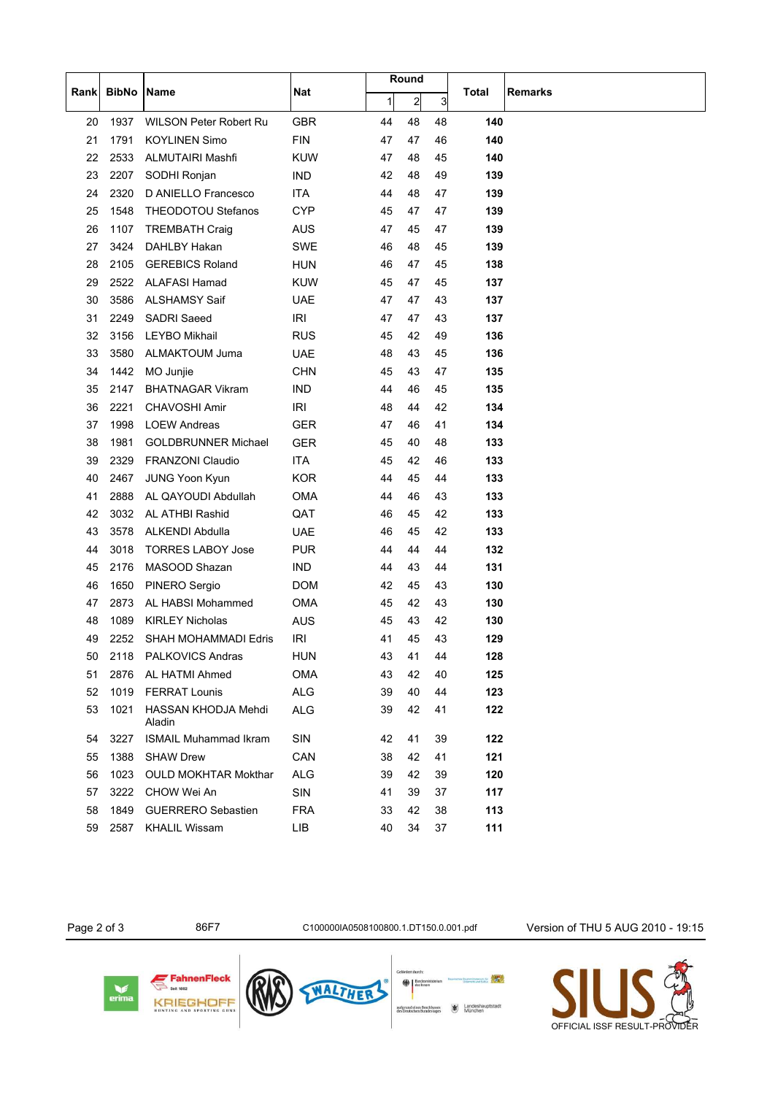|      |              | Name                          | <b>Nat</b> | Round        |                |    |       |                |
|------|--------------|-------------------------------|------------|--------------|----------------|----|-------|----------------|
| Rank | <b>BibNo</b> |                               |            | $\mathbf{1}$ | $\overline{c}$ | 3  | Total | <b>Remarks</b> |
| 20   | 1937         | <b>WILSON Peter Robert Ru</b> | <b>GBR</b> | 44           | 48             | 48 | 140   |                |
| 21   | 1791         | <b>KOYLINEN Simo</b>          | <b>FIN</b> | 47           | 47             | 46 | 140   |                |
| 22   | 2533         | <b>ALMUTAIRI Mashfi</b>       | <b>KUW</b> | 47           | 48             | 45 | 140   |                |
| 23   | 2207         | SODHI Ronjan                  | <b>IND</b> | 42           | 48             | 49 | 139   |                |
| 24   | 2320         | D ANIELLO Francesco           | ITA        | 44           | 48             | 47 | 139   |                |
| 25   | 1548         | <b>THEODOTOU Stefanos</b>     | <b>CYP</b> | 45           | 47             | 47 | 139   |                |
| 26   | 1107         | <b>TREMBATH Craig</b>         | AUS        | 47           | 45             | 47 | 139   |                |
| 27   | 3424         | DAHLBY Hakan                  | <b>SWE</b> | 46           | 48             | 45 | 139   |                |
| 28   | 2105         | <b>GEREBICS Roland</b>        | <b>HUN</b> | 46           | 47             | 45 | 138   |                |
| 29   | 2522         | <b>ALAFASI Hamad</b>          | <b>KUW</b> | 45           | 47             | 45 | 137   |                |
| 30   | 3586         | <b>ALSHAMSY Saif</b>          | <b>UAE</b> | 47           | 47             | 43 | 137   |                |
| 31   | 2249         | <b>SADRI</b> Saeed            | <b>IRI</b> | 47           | 47             | 43 | 137   |                |
| 32   | 3156         | <b>LEYBO Mikhail</b>          | <b>RUS</b> | 45           | 42             | 49 | 136   |                |
| 33   | 3580         | ALMAKTOUM Juma                | <b>UAE</b> | 48           | 43             | 45 | 136   |                |
| 34   | 1442         | MO Junjie                     | <b>CHN</b> | 45           | 43             | 47 | 135   |                |
| 35   | 2147         | <b>BHATNAGAR Vikram</b>       | <b>IND</b> | 44           | 46             | 45 | 135   |                |
| 36   | 2221         | <b>CHAVOSHI Amir</b>          | <b>IRI</b> | 48           | 44             | 42 | 134   |                |
| 37   | 1998         | <b>LOEW Andreas</b>           | <b>GER</b> | 47           | 46             | 41 | 134   |                |
| 38   | 1981         | <b>GOLDBRUNNER Michael</b>    | <b>GER</b> | 45           | 40             | 48 | 133   |                |
| 39   | 2329         | <b>FRANZONI Claudio</b>       | <b>ITA</b> | 45           | 42             | 46 | 133   |                |
| 40   | 2467         | JUNG Yoon Kyun                | <b>KOR</b> | 44           | 45             | 44 | 133   |                |
| 41   | 2888         | AL QAYOUDI Abdullah           | <b>OMA</b> | 44           | 46             | 43 | 133   |                |
| 42   | 3032         | AL ATHBI Rashid               | QAT        | 46           | 45             | 42 | 133   |                |
| 43   | 3578         | <b>ALKENDI Abdulla</b>        | <b>UAE</b> | 46           | 45             | 42 | 133   |                |
| 44   | 3018         | <b>TORRES LABOY Jose</b>      | <b>PUR</b> | 44           | 44             | 44 | 132   |                |
| 45   | 2176         | MASOOD Shazan                 | <b>IND</b> | 44           | 43             | 44 | 131   |                |
| 46   | 1650         | <b>PINERO Sergio</b>          | <b>DOM</b> | 42           | 45             | 43 | 130   |                |
| 47   | 2873         | AL HABSI Mohammed             | <b>OMA</b> | 45           | 42             | 43 | 130   |                |
| 48   | 1089         | <b>KIRLEY Nicholas</b>        | <b>AUS</b> | 45           | 43             | 42 | 130   |                |
| 49   | 2252         | SHAH MOHAMMADI Edris          | <b>IRI</b> | 41           | 45             | 43 | 129   |                |
| 50   | 2118         | PALKOVICS Andras              | <b>HUN</b> | 43           | 41             | 44 | 128   |                |
| 51   | 2876         | AL HATMI Ahmed                | <b>OMA</b> | 43           | 42             | 40 | 125   |                |
| 52   | 1019         | <b>FERRAT Lounis</b>          | <b>ALG</b> | 39           | 40             | 44 | 123   |                |
| 53   | 1021         | HASSAN KHODJA Mehdi<br>Aladin | <b>ALG</b> | 39           | 42             | 41 | 122   |                |
| 54   | 3227         | <b>ISMAIL Muhammad Ikram</b>  | SIN        | 42           | 41             | 39 | 122   |                |
| 55   | 1388         | <b>SHAW Drew</b>              | CAN        | 38           | 42             | 41 | 121   |                |
| 56   | 1023         | <b>OULD MOKHTAR Mokthar</b>   | <b>ALG</b> | 39           | 42             | 39 | 120   |                |
| 57   | 3222         | CHOW Wei An                   | SIN        | 41           | 39             | 37 | 117   |                |
| 58   | 1849         | <b>GUERRERO Sebastien</b>     | <b>FRA</b> | 33           | 42             | 38 | 113   |                |
| 59   | 2587         | <b>KHALIL Wissam</b>          | LIB        | 40           | 34             | 37 | 111   |                |

Page 2 of 3 86F7 C100000IA0508100800.1.DT150.0.001.pdf Version of THU 5 AUG 2010 - 19:15